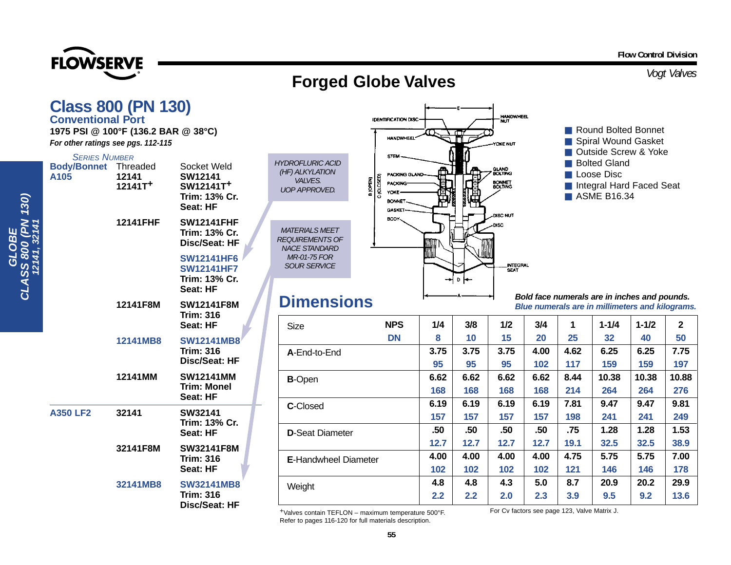**FLOWSERVE** 

## *Vogt Valves* **Forged Globe Valves**

|                              | <b>Class 800 (PN 130)</b><br><b>Conventional Port</b><br>1975 PSI @ 100°F (136.2 BAR @ 38°C)<br>For other ratings see pgs. 112-115 |                      |                                                                                                                            |                                                                                                                       | HANDWHEEL                                                                                                                                                                                          | <b>HANDWHEEL</b><br><b>IDENTIFICATION DISC-</b><br>YOKE NUT |                  |                                                                                                 |                   |                   | Round Bolted Bonnet<br>Spiral Wound Gasket<br>Outside Screw & Yoke |                          |                   |  |
|------------------------------|------------------------------------------------------------------------------------------------------------------------------------|----------------------|----------------------------------------------------------------------------------------------------------------------------|-----------------------------------------------------------------------------------------------------------------------|----------------------------------------------------------------------------------------------------------------------------------------------------------------------------------------------------|-------------------------------------------------------------|------------------|-------------------------------------------------------------------------------------------------|-------------------|-------------------|--------------------------------------------------------------------|--------------------------|-------------------|--|
| 130)                         | <b>SERIES NUMBER</b><br><b>Body/Bonnet</b> Threaded<br>A105                                                                        | 12141<br>$12141T+$   | Socket Weld<br><b>SW12141</b><br>SW12141T <sup>+</sup><br>Trim: 13% Cr.<br>Seat: HF                                        | <b>HYDROFLURIC ACID</b><br>(HF) ALKYLATION<br><b>VALVES.</b><br><b>UOP APPROVED.</b>                                  | <b>STEM</b><br>GLAND<br>BOLTING<br>⋒<br>Loose Disc<br>PACKING GLAND<br>$\sum_{i=1}^{n}$<br><b>BONNET</b><br>BOLTING<br><b>PACKING</b><br>卽<br>YOKE<br>ASME B16.34<br><b>BONNET</b><br><b>GASKE</b> |                                                             |                  |                                                                                                 |                   |                   | <b>Bolted Gland</b>                                                | Integral Hard Faced Seat |                   |  |
| MdV<br>OBE<br>CLASS 800<br>Ĕ | 12141FHF<br>12141F8M                                                                                                               |                      | <b>SW12141FHF</b><br>Trim: 13% Cr.<br>Disc/Seat: HF<br><b>SW12141HF6</b><br><b>SW12141HF7</b><br>Trim: 13% Cr.<br>Seat: HF | <b>MATERIALS MEET</b><br><b>REQUIREMENTS OF</b><br><b>NACE STANDARD</b><br><b>MR-01-75 FOR</b><br><b>SOUR SERVICE</b> | BODY <sub>~</sub>                                                                                                                                                                                  | <b>DISC NUT</b><br>-DISC<br>INTEGRAL<br>SEAT<br>D H—        |                  |                                                                                                 |                   |                   |                                                                    |                          |                   |  |
|                              |                                                                                                                                    |                      | <b>SW12141F8M</b><br><b>Trim: 316</b><br>Seat: HF                                                                          |                                                                                                                       | <b>Dimensions</b>                                                                                                                                                                                  |                                                             |                  | Bold face numerals are in inches and pounds.<br>Blue numerals are in millimeters and kilograms. |                   |                   |                                                                    |                          |                   |  |
|                              |                                                                                                                                    |                      |                                                                                                                            | <b>Size</b>                                                                                                           | <b>NPS</b>                                                                                                                                                                                         | 1/4                                                         | 3/8              | 1/2                                                                                             | 3/4               | 1                 | $1 - 1/4$                                                          | $1 - 1/2$                | $\mathbf{2}$      |  |
|                              |                                                                                                                                    | 12141MB8             | <b>SW12141MB8</b><br><b>Trim: 316</b><br><b>Disc/Seat: HF</b>                                                              | A-End-to-End                                                                                                          | <b>DN</b>                                                                                                                                                                                          | 8<br>3.75<br>95                                             | 10<br>3.75<br>95 | 15<br>3.75<br>95                                                                                | 20<br>4.00<br>102 | 25<br>4.62<br>117 | 32<br>6.25<br>159                                                  | 40<br>6.25<br>159        | 50<br>7.75<br>197 |  |
|                              |                                                                                                                                    | 12141MM              | <b>SW12141MM</b><br><b>Trim: Monel</b><br>Seat: HF                                                                         | <b>B-Open</b>                                                                                                         |                                                                                                                                                                                                    | 6.62<br>168                                                 | 6.62<br>168      | 6.62<br>168                                                                                     | 6.62<br>168       | 8.44<br>214       | 10.38<br>264                                                       | 10.38<br>264             | 10.88<br>276      |  |
|                              | <b>A350 LF2</b><br>32141                                                                                                           |                      | SW32141<br>Trim: 13% Cr.<br>Seat: HF                                                                                       | C-Closed                                                                                                              |                                                                                                                                                                                                    |                                                             | 6.19<br>157      | 6.19<br>157                                                                                     | 6.19<br>157       | 7.81<br>198       | 9.47<br>241                                                        | 9.47<br>241              | 9.81<br>249       |  |
|                              |                                                                                                                                    |                      |                                                                                                                            |                                                                                                                       | <b>D-Seat Diameter</b>                                                                                                                                                                             |                                                             | .50              | .50                                                                                             | .50               | .75               | 1.28                                                               | 1.28                     | 1.53              |  |
|                              |                                                                                                                                    | 32141F8M<br>32141MB8 | <b>SW32141F8M</b><br><b>Trim: 316</b><br>Seat: HF<br><b>SW32141MB8</b><br><b>Trim: 316</b><br>Disc/Seat: HF                |                                                                                                                       | <b>E-Handwheel Diameter</b>                                                                                                                                                                        |                                                             | 12.7             | 12.7                                                                                            | 12.7              | 19.1              | 32.5                                                               | 32.5                     | 38.9              |  |
|                              |                                                                                                                                    |                      |                                                                                                                            |                                                                                                                       |                                                                                                                                                                                                    |                                                             | 4.00<br>102      | 4.00<br>102                                                                                     | 4.00<br>102       | 4.75<br>121       | 5.75<br>146                                                        | 5.75<br>146              | 7.00<br>178       |  |
|                              |                                                                                                                                    |                      |                                                                                                                            | Weight                                                                                                                |                                                                                                                                                                                                    | 4.8<br>2.2                                                  | 4.8<br>2.2       | 4.3<br>2.0                                                                                      | 5.0<br>2.3        | 8.7<br>3.9        | 20.9<br>9.5                                                        | 20.2<br>9.2              | 29.9<br>13.6      |  |
|                              |                                                                                                                                    |                      |                                                                                                                            | $F^{\alpha\alpha\alpha}$                                                                                              |                                                                                                                                                                                                    | For Cy factors see nage 123 Valve Matrix 1                  |                  |                                                                                                 |                   |                   |                                                                    |                          |                   |  |

+Valves contain TEFLON – maximum temperature 500°F. Refer to pages 116-120 for full materials description.

**55**

For Cv factors see page 123, Valve Matrix J.